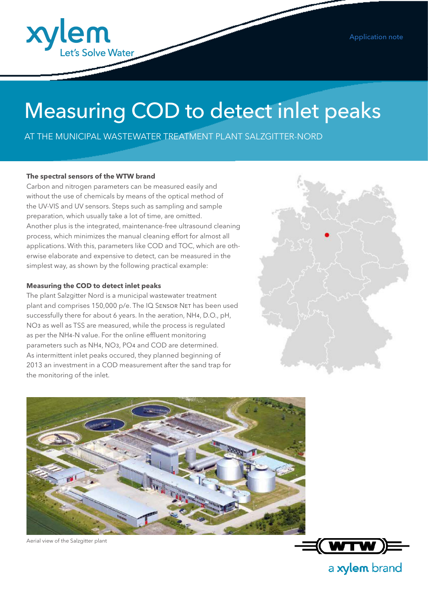

# Measuring COD to detect inlet peaks

AT THE MUNICIPAL WASTEWATER TREATMENT PLANT SALZGITTER-NORD

#### **The spectral sensors of the WTW brand**

Carbon and nitrogen parameters can be measured easily and without the use of chemicals by means of the optical method of the UV-VIS and UV sensors. Steps such as sampling and sample preparation, which usually take a lot of time, are omitted. Another plus is the integrated, maintenance-free ultrasound cleaning process, which minimizes the manual cleaning effort for almost all applications. With this, parameters like COD and TOC, which are otherwise elaborate and expensive to detect, can be measured in the simplest way, as shown by the following practical example:

#### **Measuring the COD to detect inlet peaks**

The plant Salzgitter Nord is a municipal wastewater treatment plant and comprises 150,000 p/e. The IQ SENSOR NET has been used successfully there for about 6 years. In the aeration, NH4, D.O., pH, NO3 as well as TSS are measured, while the process is regulated as per the NH4-N value. For the online effluent monitoring parameters such as NH4, NO3, PO4 and COD are determined. As intermittent inlet peaks occured, they planned beginning of 2013 an investment in a COD measurement after the sand trap for the monitoring of the inlet.





Aerial view of the Salzgitter plant



a xylem brand